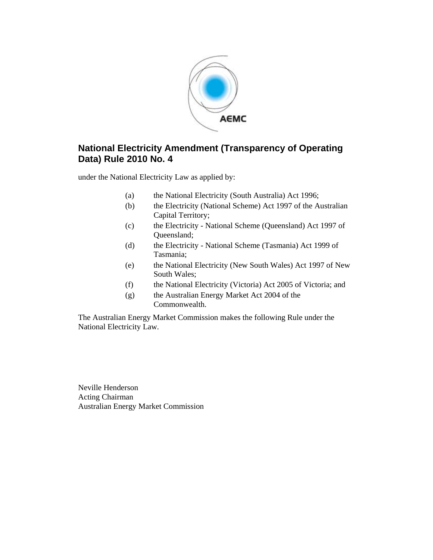

# **National Electricity Amendment (Transparency of Operating Data) Rule 2010 No. 4**

under the National Electricity Law as applied by:

- (a) the National Electricity (South Australia) Act 1996;
- (b) the Electricity (National Scheme) Act 1997 of the Australian Capital Territory;
- (c) the Electricity National Scheme (Queensland) Act 1997 of Queensland;
- (d) the Electricity National Scheme (Tasmania) Act 1999 of Tasmania;
- (e) the National Electricity (New South Wales) Act 1997 of New South Wales;
- (f) the National Electricity (Victoria) Act 2005 of Victoria; and
- (g) the Australian Energy Market Act 2004 of the Commonwealth.

The Australian Energy Market Commission makes the following Rule under the National Electricity Law.

Neville Henderson Acting Chairman Australian Energy Market Commission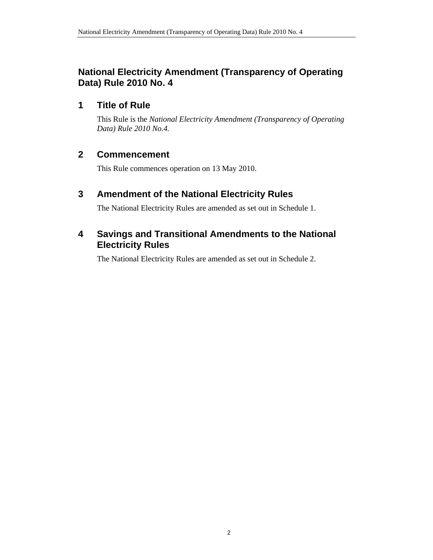# **National Electricity Amendment (Transparency of Operating Data) Rule 2010 No. 4**

## **1 Title of Rule**

This Rule is the *National Electricity Amendment (Transparency of Operating Data) Rule 2010 No.4.*

# **2 Commencement**

This Rule commences operation on 13 May 2010.

### **3 Amendment of the National Electricity Rules**

The National Electricity Rules are amended as set out in Schedule 1.

# **4 Savings and Transitional Amendments to the National Electricity Rules**

The National Electricity Rules are amended as set out in Schedule 2.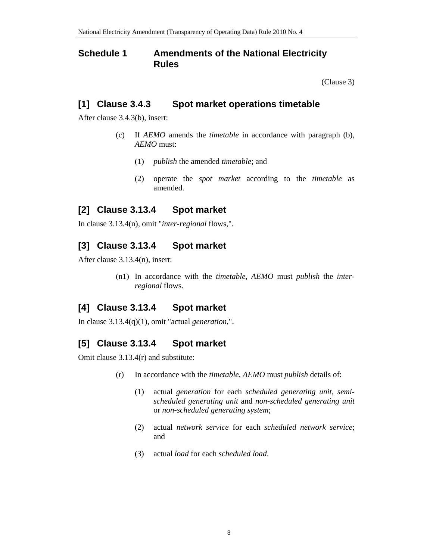#### **Schedule 1 Amendments of the National Electricity Rules**

(Clause 3)

#### **[1] Clause 3.4.3 Spot market operations timetable**

After clause 3.4.3(b), insert:

- (c) If *AEMO* amends the *timetable* in accordance with paragraph (b), *AEMO* must:
	- (1) *publish* the amended *timetable*; and
	- (2) operate the *spot market* according to the *timetable* as amended.

### **[2] Clause 3.13.4 Spot market**

In clause 3.13.4(n), omit "*inter-regional* flows,".

### **[3] Clause 3.13.4 Spot market**

After clause 3.13.4(n), insert:

(n1) In accordance with the *timetable*, *AEMO* must *publish* the *interregional* flows.

# **[4] Clause 3.13.4 Spot market**

In clause 3.13.4(q)(1), omit "actual *generation*,".

# **[5] Clause 3.13.4 Spot market**

Omit clause 3.13.4(r) and substitute:

- (r) In accordance with the *timetable*, *AEMO* must *publish* details of:
	- (1) actual *generation* for each *scheduled generating unit*, *semischeduled generating unit* and *non-scheduled generating unit* or *non-scheduled generating system*;
	- (2) actual *network service* for each *scheduled network service*; and
	- (3) actual *load* for each *scheduled load*.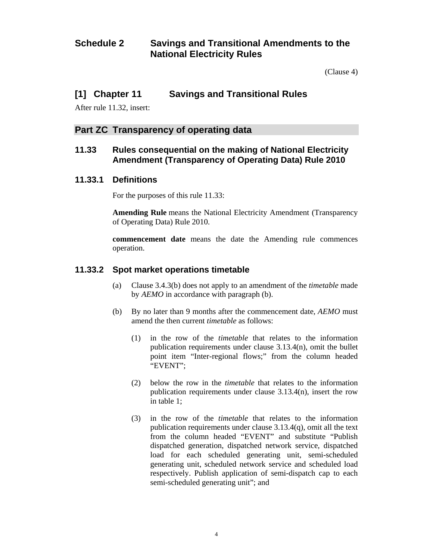## **Schedule 2 Savings and Transitional Amendments to the National Electricity Rules**

(Clause 4)

#### **[1] Chapter 11 Savings and Transitional Rules**

After rule 11.32, insert:

#### **Part ZC Transparency of operating data**

#### **11.33 Rules consequential on the making of National Electricity Amendment (Transparency of Operating Data) Rule 2010**

#### **11.33.1 Definitions**

For the purposes of this rule 11.33:

**Amending Rule** means the National Electricity Amendment (Transparency of Operating Data) Rule 2010.

**commencement date** means the date the Amending rule commences operation.

#### **11.33.2 Spot market operations timetable**

- (a) Clause 3.4.3(b) does not apply to an amendment of the *timetable* made by *AEMO* in accordance with paragraph (b).
- (b) By no later than 9 months after the commencement date, *AEMO* must amend the then current *timetable* as follows:
	- (1) in the row of the *timetable* that relates to the information publication requirements under clause 3.13.4(n), omit the bullet point item "Inter-regional flows;" from the column headed "EVENT";
	- (2) below the row in the *timetable* that relates to the information publication requirements under clause 3.13.4(n), insert the row in table 1;
	- (3) in the row of the *timetable* that relates to the information publication requirements under clause 3.13.4(q), omit all the text from the column headed "EVENT" and substitute "Publish dispatched generation, dispatched network service, dispatched load for each scheduled generating unit, semi-scheduled generating unit, scheduled network service and scheduled load respectively. Publish application of semi-dispatch cap to each semi-scheduled generating unit"; and